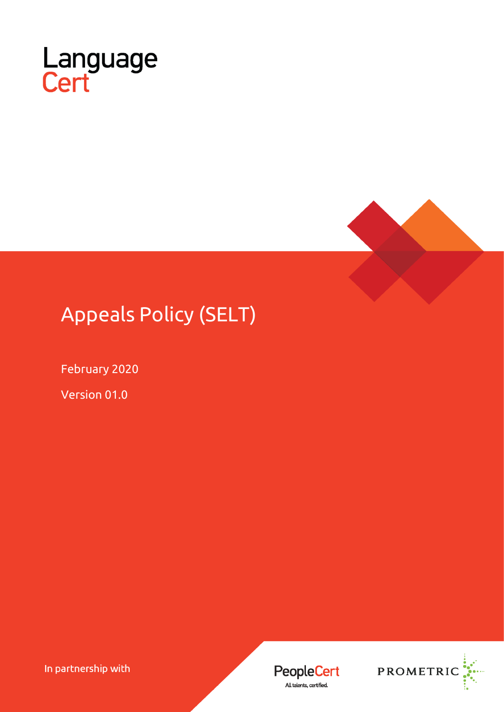



# Appeals Policy (SELT)

February 2020

Version 01.0

In partnership with



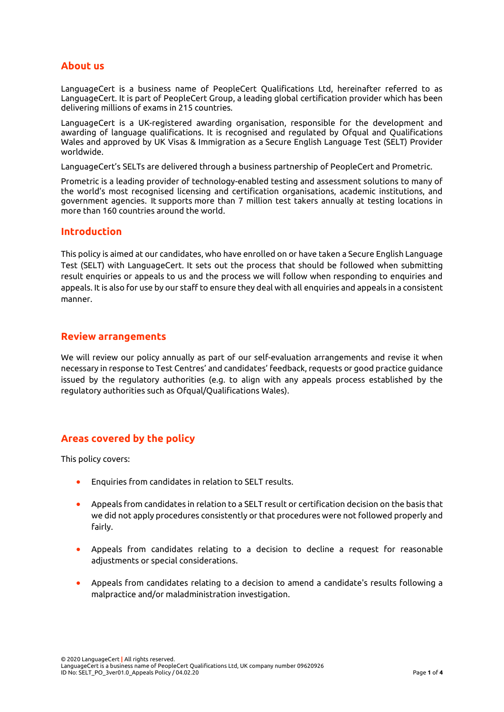#### **About us**

LanguageCert is a business name of PeopleCert Qualifications Ltd, hereinafter referred to as LanguageCert. It is part of PeopleCert Group, a leading global certification provider which has been delivering millions of exams in 215 countries.

LanguageCert is a UK-registered awarding organisation, responsible for the development and awarding of language qualifications. It is recognised and regulated by Ofqual and Qualifications Wales and approved by UK Visas & Immigration as a Secure English Language Test (SELT) Provider worldwide.

LanguageCert's SELTs are delivered through a business partnership of PeopleCert and Prometric.

Prometric is a leading provider of technology-enabled testing and assessment solutions to many of the world's most recognised licensing and certification organisations, academic institutions, and government agencies. It supports more than 7 million test takers annually at testing locations in more than 160 countries around the world.

#### **Introduction**

This policy is aimed at our candidates, who have enrolled on or have taken a Secure English Language Test (SELT) with LanguageCert. It sets out the process that should be followed when submitting result enquiries or appeals to us and the process we will follow when responding to enquiries and appeals. It is also for use by our staff to ensure they deal with all enquiries and appeals in a consistent manner.

#### **Review arrangements**

We will review our policy annually as part of our self-evaluation arrangements and revise it when necessary in response to Test Centres' and candidates' feedback, requests or good practice guidance issued by the regulatory authorities (e.g. to align with any appeals process established by the regulatory authorities such as Ofqual/Qualifications Wales).

# **Areas covered by the policy**

This policy covers:

- Enquiries from candidates in relation to SELT results.
- Appeals from candidates in relation to a SELT result or certification decision on the basis that we did not apply procedures consistently or that procedures were not followed properly and fairly.
- Appeals from candidates relating to a decision to decline a request for reasonable adiustments or special considerations.
- Appeals from candidates relating to a decision to amend a candidate's results following a malpractice and/or maladministration investigation.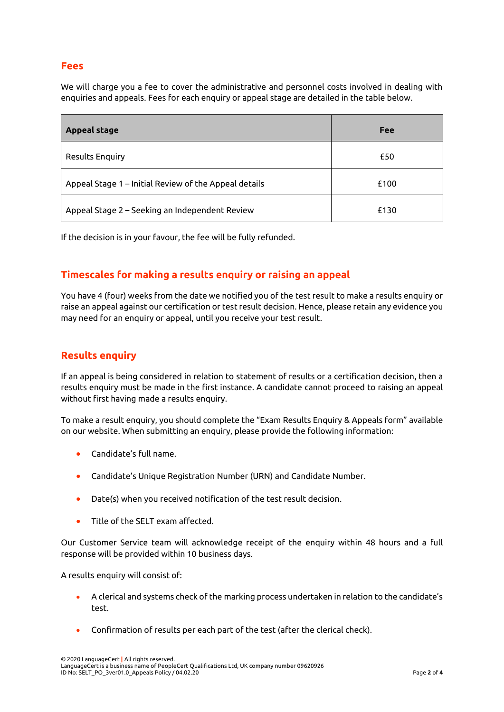#### **Fees**

We will charge you a fee to cover the administrative and personnel costs involved in dealing with enquiries and appeals. Fees for each enquiry or appeal stage are detailed in the table below.

| <b>Appeal stage</b>                                   | Fee  |
|-------------------------------------------------------|------|
| <b>Results Enquiry</b>                                | £50  |
| Appeal Stage 1 - Initial Review of the Appeal details | £100 |
| Appeal Stage 2 – Seeking an Independent Review        | £130 |

If the decision is in your favour, the fee will be fully refunded.

# **Timescales for making a results enquiry or raising an appeal**

You have 4 (four) weeks from the date we notified you of the test result to make a results enquiry or raise an appeal against our certification or test result decision. Hence, please retain any evidence you may need for an enquiry or appeal, until you receive your test result.

# **Results enquiry**

If an appeal is being considered in relation to statement of results or a certification decision, then a results enquiry must be made in the first instance. A candidate cannot proceed to raising an appeal without first having made a results enquiry.

To make a result enquiry, you should complete the "Exam Results Enquiry & Appeals form" available on our website. When submitting an enquiry, please provide the following information:

- Candidate's full name.
- Candidate's Unique Registration Number (URN) and Candidate Number.
- Date(s) when you received notification of the test result decision.
- Title of the SELT exam affected.

Our Customer Service team will acknowledge receipt of the enquiry within 48 hours and a full response will be provided within 10 business days.

A results enquiry will consist of:

- A clerical and systems check of the marking process undertaken in relation to the candidate's test.
- Confirmation of results per each part of the test (after the clerical check).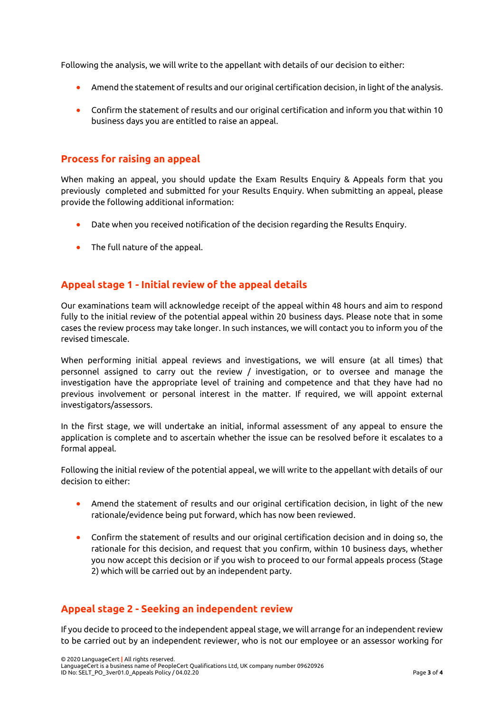Following the analysis, we will write to the appellant with details of our decision to either:

- Amend the statement of results and our original certification decision, in light of the analysis.
- Confirm the statement of results and our original certification and inform you that within 10 business days you are entitled to raise an appeal.

#### **Process for raising an appeal**

When making an appeal, you should update the Exam Results Enquiry & Appeals form that you previously completed and submitted for your Results Enquiry. When submitting an appeal, please provide the following additional information:

- Date when you received notification of the decision regarding the Results Enquiry.
- The full nature of the appeal.

# **Appeal stage 1 - Initial review of the appeal details**

Our examinations team will acknowledge receipt of the appeal within 48 hours and aim to respond fully to the initial review of the potential appeal within 20 business days. Please note that in some cases the review process may take longer. In such instances, we will contact you to inform you of the revised timescale.

When performing initial appeal reviews and investigations, we will ensure (at all times) that personnel assigned to carry out the review / investigation, or to oversee and manage the investigation have the appropriate level of training and competence and that they have had no previous involvement or personal interest in the matter. If required, we will appoint external investigators/assessors.

In the first stage, we will undertake an initial, informal assessment of any appeal to ensure the application is complete and to ascertain whether the issue can be resolved before it escalates to a formal appeal.

Following the initial review of the potential appeal, we will write to the appellant with details of our decision to either:

- Amend the statement of results and our original certification decision, in light of the new rationale/evidence being put forward, which has now been reviewed.
- Confirm the statement of results and our original certification decision and in doing so, the rationale for this decision, and request that you confirm, within 10 business days, whether you now accept this decision or if you wish to proceed to our formal appeals process (Stage 2) which will be carried out by an independent party.

# **Appeal stage 2 - Seeking an independent review**

If you decide to proceed to the independent appeal stage, we will arrange for an independent review to be carried out by an independent reviewer, who is not our employee or an assessor working for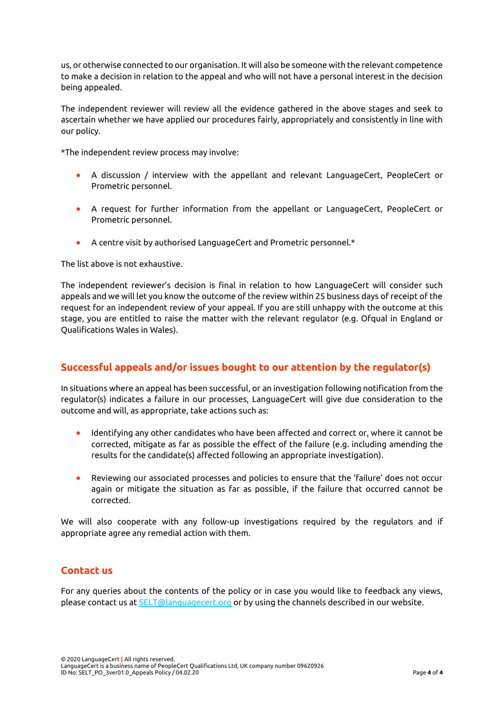us, or otherwise connected to our organisation. It will also be someone with the relevant competence to make a decision in relation to the appeal and who will not have a personal interest in the decision being appealed.

The independent reviewer will review all the evidence gathered in the above stages and seek to ascertain whether we have applied our procedures fairly, appropriately and consistently in line with our policy.

\*The independent review process may involve:

- A discussion / interview with the appellant and relevant LanguageCert, PeopleCert or Prometric personnel.
- A request for further information from the appellant or LanguageCert, PeopleCert or Prometric personnel.
- A centre visit by authorised LanguageCert and Prometric personnel.\*

The list above is not exhaustive.

The independent reviewer's decision is final in relation to how LanguageCert will consider such appeals and we will let you know the outcome of the review within 25 business days of receipt of the request for an independent review of your appeal. If you are still unhappy with the outcome at this stage, you are entitled to raise the matter with the relevant regulator (e.g. Ofqual in England or Qualifications Wales in Wales).

# **Successful appeals and/or issues bought to our attention by the regulator(s)**

In situations where an appeal has been successful, or an investigation following notification from the regulator(s) indicates a failure in our processes, LanguageCert will give due consideration to the outcome and will, as appropriate, take actions such as:

- Identifying any other candidates who have been affected and correct or, where it cannot be corrected, mitigate as far as possible the effect of the failure (e.g. including amending the results for the candidate(s) affected following an appropriate investigation).
- Reviewing our associated processes and policies to ensure that the 'failure' does not occur again or mitigate the situation as far as possible, if the failure that occurred cannot be corrected.

We will also cooperate with any follow-up investigations required by the regulators and if appropriate agree any remedial action with them.

# **Contact us**

For any queries about the contents of the policy or in case you would like to feedback any views, please contact us at [SELT@languagecert.org](mailto:SELT@languagecert.org) or by using the channels described in our website.